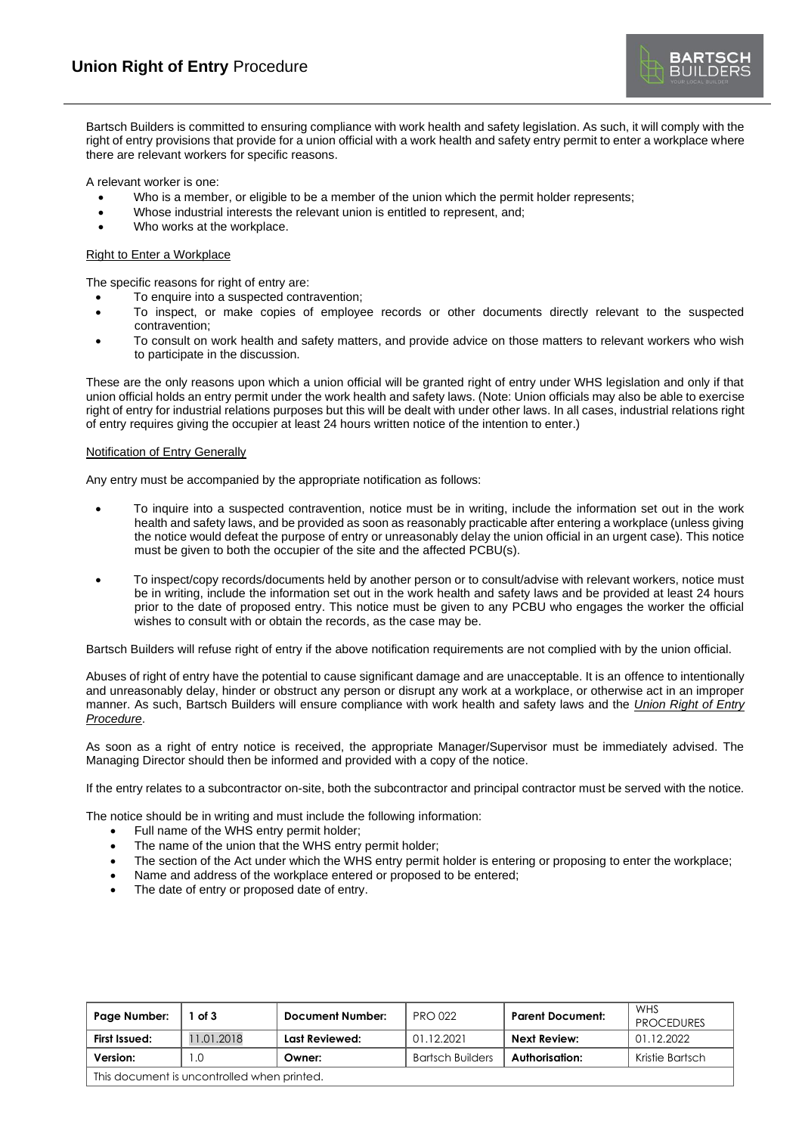Bartsch Builders is committed to ensuring compliance with work health and safety legislation. As such, it will comply with the right of entry provisions that provide for a union official with a work health and safety entry permit to enter a workplace where there are relevant workers for specific reasons.

A relevant worker is one:

- Who is a member, or eligible to be a member of the union which the permit holder represents;
- Whose industrial interests the relevant union is entitled to represent, and;
- Who works at the workplace.

# Right to Enter a Workplace

The specific reasons for right of entry are:

- To enquire into a suspected contravention;
- To inspect, or make copies of employee records or other documents directly relevant to the suspected contravention;
- To consult on work health and safety matters, and provide advice on those matters to relevant workers who wish to participate in the discussion.

These are the only reasons upon which a union official will be granted right of entry under WHS legislation and only if that union official holds an entry permit under the work health and safety laws. (Note: Union officials may also be able to exercise right of entry for industrial relations purposes but this will be dealt with under other laws. In all cases, industrial relations right of entry requires giving the occupier at least 24 hours written notice of the intention to enter.)

## Notification of Entry Generally

Any entry must be accompanied by the appropriate notification as follows:

- To inquire into a suspected contravention, notice must be in writing, include the information set out in the work health and safety laws, and be provided as soon as reasonably practicable after entering a workplace (unless giving the notice would defeat the purpose of entry or unreasonably delay the union official in an urgent case). This notice must be given to both the occupier of the site and the affected PCBU(s).
- To inspect/copy records/documents held by another person or to consult/advise with relevant workers, notice must be in writing, include the information set out in the work health and safety laws and be provided at least 24 hours prior to the date of proposed entry. This notice must be given to any PCBU who engages the worker the official wishes to consult with or obtain the records, as the case may be.

Bartsch Builders will refuse right of entry if the above notification requirements are not complied with by the union official.

Abuses of right of entry have the potential to cause significant damage and are unacceptable. It is an offence to intentionally and unreasonably delay, hinder or obstruct any person or disrupt any work at a workplace, or otherwise act in an improper manner. As such, Bartsch Builders will ensure compliance with work health and safety laws and the *Union Right of Entry Procedure*.

As soon as a right of entry notice is received, the appropriate Manager/Supervisor must be immediately advised. The Managing Director should then be informed and provided with a copy of the notice.

If the entry relates to a subcontractor on-site, both the subcontractor and principal contractor must be served with the notice.

The notice should be in writing and must include the following information:

- Full name of the WHS entry permit holder;
- The name of the union that the WHS entry permit holder;
- The section of the Act under which the WHS entry permit holder is entering or proposing to enter the workplace;
- Name and address of the workplace entered or proposed to be entered;
- The date of entry or proposed date of entry.

| Page Number:                                | of 3       | <b>Document Number:</b> | <b>PRO 022</b>          | <b>Parent Document:</b> | WHS<br><b>PROCEDURES</b> |  |
|---------------------------------------------|------------|-------------------------|-------------------------|-------------------------|--------------------------|--|
| First Issued:                               | 11.01.2018 | Last Reviewed:          | 01.12.2021              | <b>Next Review:</b>     | 01.12.2022               |  |
| Version:                                    | .0         | Owner:                  | <b>Bartsch Builders</b> | Authorisation:          | Kristie Bartsch          |  |
| This document is uncontrolled when printed. |            |                         |                         |                         |                          |  |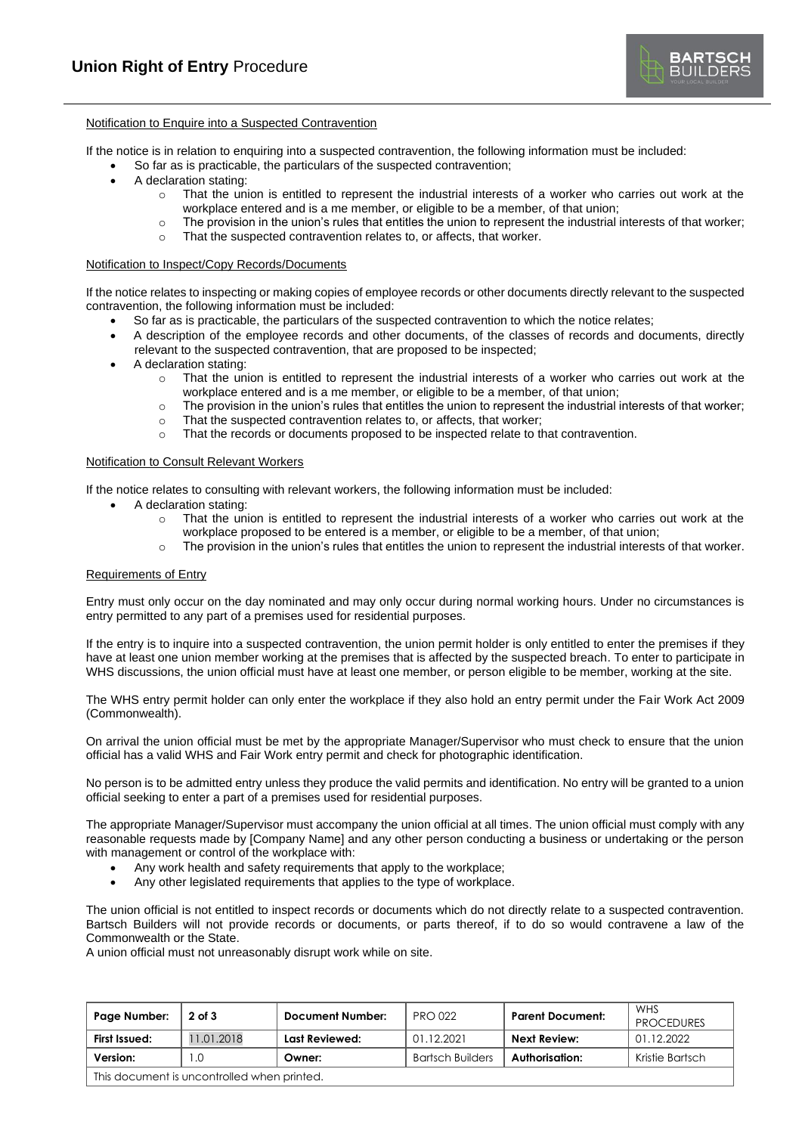

# Notification to Enquire into a Suspected Contravention

If the notice is in relation to enquiring into a suspected contravention, the following information must be included:

- So far as is practicable, the particulars of the suspected contravention;
- A declaration stating:
	- $\circ$  That the union is entitled to represent the industrial interests of a worker who carries out work at the workplace entered and is a me member, or eligible to be a member, of that union;
	- $\circ$  The provision in the union's rules that entitles the union to represent the industrial interests of that worker;
	- o That the suspected contravention relates to, or affects, that worker.

### Notification to Inspect/Copy Records/Documents

If the notice relates to inspecting or making copies of employee records or other documents directly relevant to the suspected contravention, the following information must be included:

- So far as is practicable, the particulars of the suspected contravention to which the notice relates;
- A description of the employee records and other documents, of the classes of records and documents, directly relevant to the suspected contravention, that are proposed to be inspected;
- A declaration stating:
	- $\circ$  That the union is entitled to represent the industrial interests of a worker who carries out work at the workplace entered and is a me member, or eligible to be a member, of that union;
	- $\circ$  The provision in the union's rules that entitles the union to represent the industrial interests of that worker;
	- o That the suspected contravention relates to, or affects, that worker;
	- o That the records or documents proposed to be inspected relate to that contravention.

### Notification to Consult Relevant Workers

If the notice relates to consulting with relevant workers, the following information must be included:

- A declaration stating:
	- o That the union is entitled to represent the industrial interests of a worker who carries out work at the workplace proposed to be entered is a member, or eligible to be a member, of that union;
	- $\circ$  The provision in the union's rules that entitles the union to represent the industrial interests of that worker.

### Requirements of Entry

Entry must only occur on the day nominated and may only occur during normal working hours. Under no circumstances is entry permitted to any part of a premises used for residential purposes.

If the entry is to inquire into a suspected contravention, the union permit holder is only entitled to enter the premises if they have at least one union member working at the premises that is affected by the suspected breach. To enter to participate in WHS discussions, the union official must have at least one member, or person eligible to be member, working at the site.

The WHS entry permit holder can only enter the workplace if they also hold an entry permit under the Fair Work Act 2009 (Commonwealth).

On arrival the union official must be met by the appropriate Manager/Supervisor who must check to ensure that the union official has a valid WHS and Fair Work entry permit and check for photographic identification.

No person is to be admitted entry unless they produce the valid permits and identification. No entry will be granted to a union official seeking to enter a part of a premises used for residential purposes.

The appropriate Manager/Supervisor must accompany the union official at all times. The union official must comply with any reasonable requests made by [Company Name] and any other person conducting a business or undertaking or the person with management or control of the workplace with:

- Any work health and safety requirements that apply to the workplace;
- Any other legislated requirements that applies to the type of workplace.

The union official is not entitled to inspect records or documents which do not directly relate to a suspected contravention. Bartsch Builders will not provide records or documents, or parts thereof, if to do so would contravene a law of the Commonwealth or the State.

A union official must not unreasonably disrupt work while on site.

| Page Number:                                | $2$ of $3$ | Document Number: | <b>PRO 022</b>          | <b>Parent Document:</b> | WHS<br><b>PROCEDURES</b> |  |
|---------------------------------------------|------------|------------------|-------------------------|-------------------------|--------------------------|--|
| First Issued:                               | 11.01.2018 | Last Reviewed:   | 01.12.2021              | Next Review:            | 01.12.2022               |  |
| Version:                                    | .0         | Owner:           | <b>Bartsch Builders</b> | Authorisation:          | Kristie Bartsch          |  |
| This document is uncontrolled when printed. |            |                  |                         |                         |                          |  |